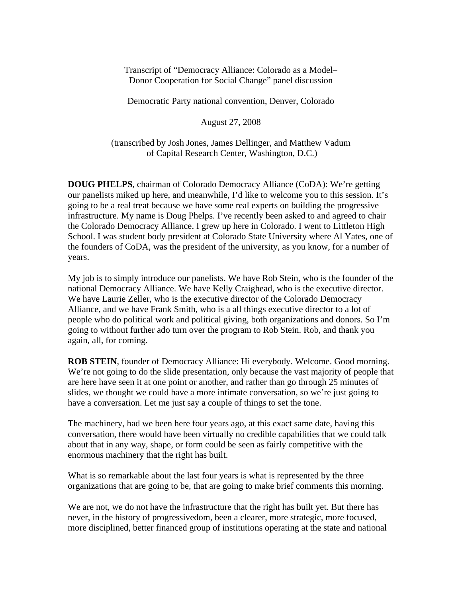Transcript of "Democracy Alliance: Colorado as a Model– Donor Cooperation for Social Change" panel discussion

Democratic Party national convention, Denver, Colorado

August 27, 2008

(transcribed by Josh Jones, James Dellinger, and Matthew Vadum of Capital Research Center, Washington, D.C.)

**DOUG PHELPS**, chairman of Colorado Democracy Alliance (CoDA): We're getting our panelists miked up here, and meanwhile, I'd like to welcome you to this session. It's going to be a real treat because we have some real experts on building the progressive infrastructure. My name is Doug Phelps. I've recently been asked to and agreed to chair the Colorado Democracy Alliance. I grew up here in Colorado. I went to Littleton High School. I was student body president at Colorado State University where Al Yates, one of the founders of CoDA, was the president of the university, as you know, for a number of years.

My job is to simply introduce our panelists. We have Rob Stein, who is the founder of the national Democracy Alliance. We have Kelly Craighead, who is the executive director. We have Laurie Zeller, who is the executive director of the Colorado Democracy Alliance, and we have Frank Smith, who is a all things executive director to a lot of people who do political work and political giving, both organizations and donors. So I'm going to without further ado turn over the program to Rob Stein. Rob, and thank you again, all, for coming.

**ROB STEIN**, founder of Democracy Alliance: Hi everybody. Welcome. Good morning. We're not going to do the slide presentation, only because the vast majority of people that are here have seen it at one point or another, and rather than go through 25 minutes of slides, we thought we could have a more intimate conversation, so we're just going to have a conversation. Let me just say a couple of things to set the tone.

The machinery, had we been here four years ago, at this exact same date, having this conversation, there would have been virtually no credible capabilities that we could talk about that in any way, shape, or form could be seen as fairly competitive with the enormous machinery that the right has built.

What is so remarkable about the last four years is what is represented by the three organizations that are going to be, that are going to make brief comments this morning.

We are not, we do not have the infrastructure that the right has built yet. But there has never, in the history of progressivedom, been a clearer, more strategic, more focused, more disciplined, better financed group of institutions operating at the state and national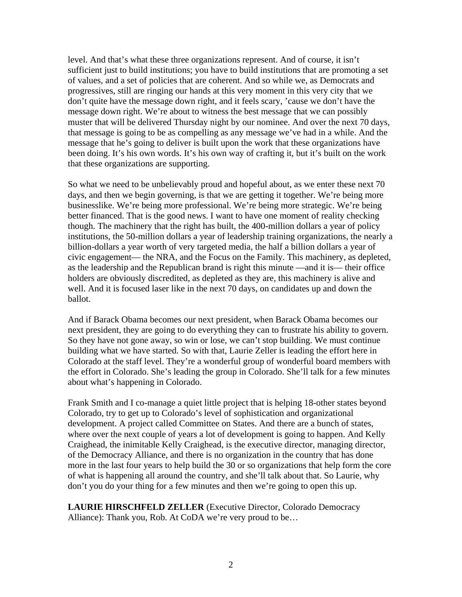level. And that's what these three organizations represent. And of course, it isn't sufficient just to build institutions; you have to build institutions that are promoting a set of values, and a set of policies that are coherent. And so while we, as Democrats and progressives, still are ringing our hands at this very moment in this very city that we don't quite have the message down right, and it feels scary, 'cause we don't have the message down right. We're about to witness the best message that we can possibly muster that will be delivered Thursday night by our nominee. And over the next 70 days, that message is going to be as compelling as any message we've had in a while. And the message that he's going to deliver is built upon the work that these organizations have been doing. It's his own words. It's his own way of crafting it, but it's built on the work that these organizations are supporting.

So what we need to be unbelievably proud and hopeful about, as we enter these next 70 days, and then we begin governing, is that we are getting it together. We're being more businesslike. We're being more professional. We're being more strategic. We're being better financed. That is the good news. I want to have one moment of reality checking though. The machinery that the right has built, the 400-million dollars a year of policy institutions, the 50-million dollars a year of leadership training organizations, the nearly a billion-dollars a year worth of very targeted media, the half a billion dollars a year of civic engagement— the NRA, and the Focus on the Family. This machinery, as depleted, as the leadership and the Republican brand is right this minute —and it is— their office holders are obviously discredited, as depleted as they are, this machinery is alive and well. And it is focused laser like in the next 70 days, on candidates up and down the ballot.

And if Barack Obama becomes our next president, when Barack Obama becomes our next president, they are going to do everything they can to frustrate his ability to govern. So they have not gone away, so win or lose, we can't stop building. We must continue building what we have started. So with that, Laurie Zeller is leading the effort here in Colorado at the staff level. They're a wonderful group of wonderful board members with the effort in Colorado. She's leading the group in Colorado. She'll talk for a few minutes about what's happening in Colorado.

Frank Smith and I co-manage a quiet little project that is helping 18-other states beyond Colorado, try to get up to Colorado's level of sophistication and organizational development. A project called Committee on States. And there are a bunch of states, where over the next couple of years a lot of development is going to happen. And Kelly Craighead, the inimitable Kelly Craighead, is the executive director, managing director, of the Democracy Alliance, and there is no organization in the country that has done more in the last four years to help build the 30 or so organizations that help form the core of what is happening all around the country, and she'll talk about that. So Laurie, why don't you do your thing for a few minutes and then we're going to open this up.

**LAURIE HIRSCHFELD ZELLER** (Executive Director, Colorado Democracy Alliance): Thank you, Rob. At CoDA we're very proud to be…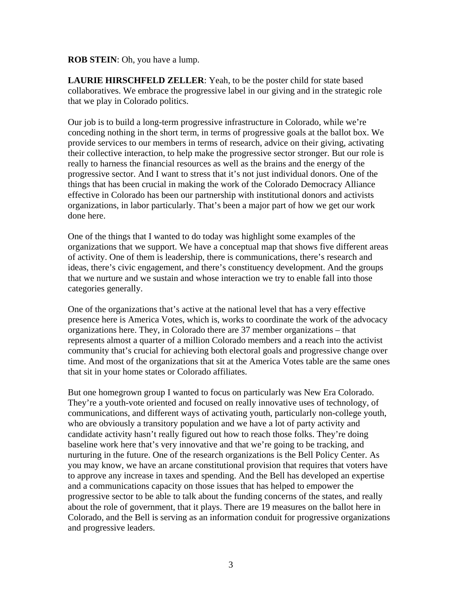#### **ROB STEIN**: Oh, you have a lump.

**LAURIE HIRSCHFELD ZELLER**: Yeah, to be the poster child for state based collaboratives. We embrace the progressive label in our giving and in the strategic role that we play in Colorado politics.

Our job is to build a long-term progressive infrastructure in Colorado, while we're conceding nothing in the short term, in terms of progressive goals at the ballot box. We provide services to our members in terms of research, advice on their giving, activating their collective interaction, to help make the progressive sector stronger. But our role is really to harness the financial resources as well as the brains and the energy of the progressive sector. And I want to stress that it's not just individual donors. One of the things that has been crucial in making the work of the Colorado Democracy Alliance effective in Colorado has been our partnership with institutional donors and activists organizations, in labor particularly. That's been a major part of how we get our work done here.

One of the things that I wanted to do today was highlight some examples of the organizations that we support. We have a conceptual map that shows five different areas of activity. One of them is leadership, there is communications, there's research and ideas, there's civic engagement, and there's constituency development. And the groups that we nurture and we sustain and whose interaction we try to enable fall into those categories generally.

One of the organizations that's active at the national level that has a very effective presence here is America Votes, which is, works to coordinate the work of the advocacy organizations here. They, in Colorado there are 37 member organizations – that represents almost a quarter of a million Colorado members and a reach into the activist community that's crucial for achieving both electoral goals and progressive change over time. And most of the organizations that sit at the America Votes table are the same ones that sit in your home states or Colorado affiliates.

But one homegrown group I wanted to focus on particularly was New Era Colorado. They're a youth-vote oriented and focused on really innovative uses of technology, of communications, and different ways of activating youth, particularly non-college youth, who are obviously a transitory population and we have a lot of party activity and candidate activity hasn't really figured out how to reach those folks. They're doing baseline work here that's very innovative and that we're going to be tracking, and nurturing in the future. One of the research organizations is the Bell Policy Center. As you may know, we have an arcane constitutional provision that requires that voters have to approve any increase in taxes and spending. And the Bell has developed an expertise and a communications capacity on those issues that has helped to empower the progressive sector to be able to talk about the funding concerns of the states, and really about the role of government, that it plays. There are 19 measures on the ballot here in Colorado, and the Bell is serving as an information conduit for progressive organizations and progressive leaders.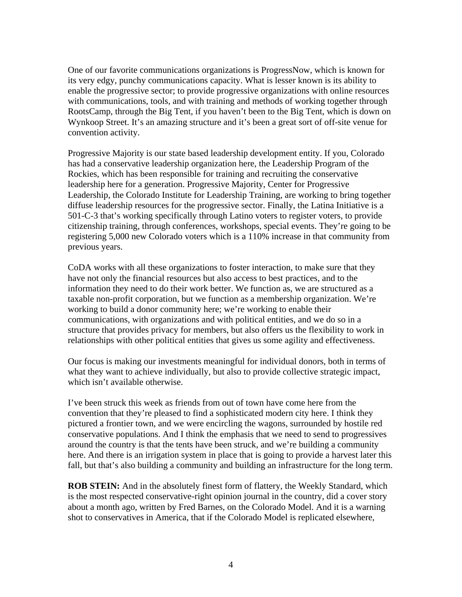One of our favorite communications organizations is ProgressNow, which is known for its very edgy, punchy communications capacity. What is lesser known is its ability to enable the progressive sector; to provide progressive organizations with online resources with communications, tools, and with training and methods of working together through RootsCamp, through the Big Tent, if you haven't been to the Big Tent, which is down on Wynkoop Street. It's an amazing structure and it's been a great sort of off-site venue for convention activity.

Progressive Majority is our state based leadership development entity. If you, Colorado has had a conservative leadership organization here, the Leadership Program of the Rockies, which has been responsible for training and recruiting the conservative leadership here for a generation. Progressive Majority, Center for Progressive Leadership, the Colorado Institute for Leadership Training, are working to bring together diffuse leadership resources for the progressive sector. Finally, the Latina Initiative is a 501-C-3 that's working specifically through Latino voters to register voters, to provide citizenship training, through conferences, workshops, special events. They're going to be registering 5,000 new Colorado voters which is a 110% increase in that community from previous years.

CoDA works with all these organizations to foster interaction, to make sure that they have not only the financial resources but also access to best practices, and to the information they need to do their work better. We function as, we are structured as a taxable non-profit corporation, but we function as a membership organization. We're working to build a donor community here; we're working to enable their communications, with organizations and with political entities, and we do so in a structure that provides privacy for members, but also offers us the flexibility to work in relationships with other political entities that gives us some agility and effectiveness.

Our focus is making our investments meaningful for individual donors, both in terms of what they want to achieve individually, but also to provide collective strategic impact, which isn't available otherwise.

I've been struck this week as friends from out of town have come here from the convention that they're pleased to find a sophisticated modern city here. I think they pictured a frontier town, and we were encircling the wagons, surrounded by hostile red conservative populations. And I think the emphasis that we need to send to progressives around the country is that the tents have been struck, and we're building a community here. And there is an irrigation system in place that is going to provide a harvest later this fall, but that's also building a community and building an infrastructure for the long term.

**ROB STEIN:** And in the absolutely finest form of flattery, the Weekly Standard, which is the most respected conservative-right opinion journal in the country, did a cover story about a month ago, written by Fred Barnes, on the Colorado Model. And it is a warning shot to conservatives in America, that if the Colorado Model is replicated elsewhere,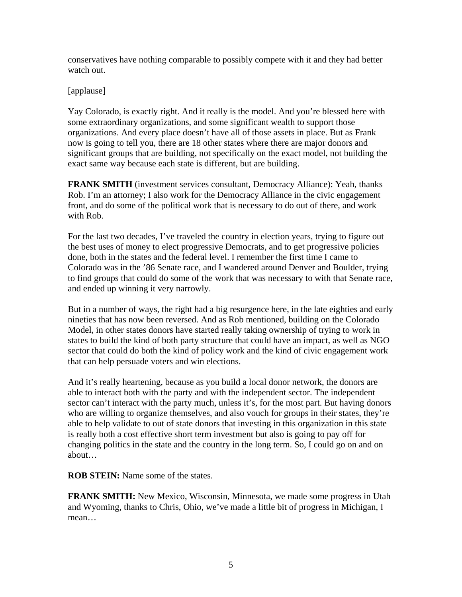conservatives have nothing comparable to possibly compete with it and they had better watch out.

#### [applause]

Yay Colorado, is exactly right. And it really is the model. And you're blessed here with some extraordinary organizations, and some significant wealth to support those organizations. And every place doesn't have all of those assets in place. But as Frank now is going to tell you, there are 18 other states where there are major donors and significant groups that are building, not specifically on the exact model, not building the exact same way because each state is different, but are building.

**FRANK SMITH** (investment services consultant, Democracy Alliance): Yeah, thanks Rob. I'm an attorney; I also work for the Democracy Alliance in the civic engagement front, and do some of the political work that is necessary to do out of there, and work with Rob.

For the last two decades, I've traveled the country in election years, trying to figure out the best uses of money to elect progressive Democrats, and to get progressive policies done, both in the states and the federal level. I remember the first time I came to Colorado was in the '86 Senate race, and I wandered around Denver and Boulder, trying to find groups that could do some of the work that was necessary to with that Senate race, and ended up winning it very narrowly.

But in a number of ways, the right had a big resurgence here, in the late eighties and early nineties that has now been reversed. And as Rob mentioned, building on the Colorado Model, in other states donors have started really taking ownership of trying to work in states to build the kind of both party structure that could have an impact, as well as NGO sector that could do both the kind of policy work and the kind of civic engagement work that can help persuade voters and win elections.

And it's really heartening, because as you build a local donor network, the donors are able to interact both with the party and with the independent sector. The independent sector can't interact with the party much, unless it's, for the most part. But having donors who are willing to organize themselves, and also vouch for groups in their states, they're able to help validate to out of state donors that investing in this organization in this state is really both a cost effective short term investment but also is going to pay off for changing politics in the state and the country in the long term. So, I could go on and on about…

**ROB STEIN:** Name some of the states.

**FRANK SMITH:** New Mexico, Wisconsin, Minnesota, we made some progress in Utah and Wyoming, thanks to Chris, Ohio, we've made a little bit of progress in Michigan, I mean…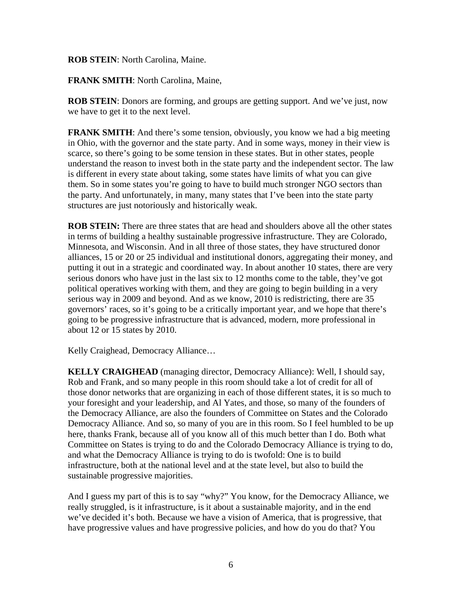#### **ROB STEIN**: North Carolina, Maine.

**FRANK SMITH**: North Carolina, Maine,

**ROB STEIN**: Donors are forming, and groups are getting support. And we've just, now we have to get it to the next level.

**FRANK SMITH:** And there's some tension, obviously, you know we had a big meeting in Ohio, with the governor and the state party. And in some ways, money in their view is scarce, so there's going to be some tension in these states. But in other states, people understand the reason to invest both in the state party and the independent sector. The law is different in every state about taking, some states have limits of what you can give them. So in some states you're going to have to build much stronger NGO sectors than the party. And unfortunately, in many, many states that I've been into the state party structures are just notoriously and historically weak.

**ROB STEIN:** There are three states that are head and shoulders above all the other states in terms of building a healthy sustainable progressive infrastructure. They are Colorado, Minnesota, and Wisconsin. And in all three of those states, they have structured donor alliances, 15 or 20 or 25 individual and institutional donors, aggregating their money, and putting it out in a strategic and coordinated way. In about another 10 states, there are very serious donors who have just in the last six to 12 months come to the table, they've got political operatives working with them, and they are going to begin building in a very serious way in 2009 and beyond. And as we know, 2010 is redistricting, there are 35 governors' races, so it's going to be a critically important year, and we hope that there's going to be progressive infrastructure that is advanced, modern, more professional in about 12 or 15 states by 2010.

Kelly Craighead, Democracy Alliance…

**KELLY CRAIGHEAD** (managing director, Democracy Alliance): Well, I should say, Rob and Frank, and so many people in this room should take a lot of credit for all of those donor networks that are organizing in each of those different states, it is so much to your foresight and your leadership, and Al Yates, and those, so many of the founders of the Democracy Alliance, are also the founders of Committee on States and the Colorado Democracy Alliance. And so, so many of you are in this room. So I feel humbled to be up here, thanks Frank, because all of you know all of this much better than I do. Both what Committee on States is trying to do and the Colorado Democracy Alliance is trying to do, and what the Democracy Alliance is trying to do is twofold: One is to build infrastructure, both at the national level and at the state level, but also to build the sustainable progressive majorities.

And I guess my part of this is to say "why?" You know, for the Democracy Alliance, we really struggled, is it infrastructure, is it about a sustainable majority, and in the end we've decided it's both. Because we have a vision of America, that is progressive, that have progressive values and have progressive policies, and how do you do that? You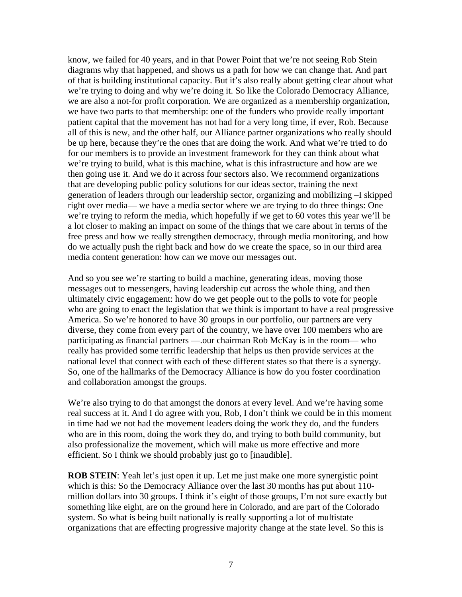know, we failed for 40 years, and in that Power Point that we're not seeing Rob Stein diagrams why that happened, and shows us a path for how we can change that. And part of that is building institutional capacity. But it's also really about getting clear about what we're trying to doing and why we're doing it. So like the Colorado Democracy Alliance, we are also a not-for profit corporation. We are organized as a membership organization, we have two parts to that membership: one of the funders who provide really important patient capital that the movement has not had for a very long time, if ever, Rob. Because all of this is new, and the other half, our Alliance partner organizations who really should be up here, because they're the ones that are doing the work. And what we're tried to do for our members is to provide an investment framework for they can think about what we're trying to build, what is this machine, what is this infrastructure and how are we then going use it. And we do it across four sectors also. We recommend organizations that are developing public policy solutions for our ideas sector, training the next generation of leaders through our leadership sector, organizing and mobilizing –I skipped right over media— we have a media sector where we are trying to do three things: One we're trying to reform the media, which hopefully if we get to 60 votes this year we'll be a lot closer to making an impact on some of the things that we care about in terms of the free press and how we really strengthen democracy, through media monitoring, and how do we actually push the right back and how do we create the space, so in our third area media content generation: how can we move our messages out.

And so you see we're starting to build a machine, generating ideas, moving those messages out to messengers, having leadership cut across the whole thing, and then ultimately civic engagement: how do we get people out to the polls to vote for people who are going to enact the legislation that we think is important to have a real progressive America. So we're honored to have 30 groups in our portfolio, our partners are very diverse, they come from every part of the country, we have over 100 members who are participating as financial partners —.our chairman Rob McKay is in the room— who really has provided some terrific leadership that helps us then provide services at the national level that connect with each of these different states so that there is a synergy. So, one of the hallmarks of the Democracy Alliance is how do you foster coordination and collaboration amongst the groups.

We're also trying to do that amongst the donors at every level. And we're having some real success at it. And I do agree with you, Rob, I don't think we could be in this moment in time had we not had the movement leaders doing the work they do, and the funders who are in this room, doing the work they do, and trying to both build community, but also professionalize the movement, which will make us more effective and more efficient. So I think we should probably just go to [inaudible].

**ROB STEIN**: Yeah let's just open it up. Let me just make one more synergistic point which is this: So the Democracy Alliance over the last 30 months has put about 110 million dollars into 30 groups. I think it's eight of those groups, I'm not sure exactly but something like eight, are on the ground here in Colorado, and are part of the Colorado system. So what is being built nationally is really supporting a lot of multistate organizations that are effecting progressive majority change at the state level. So this is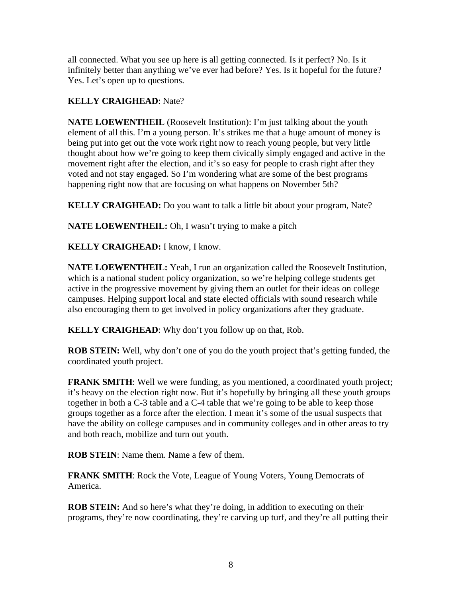all connected. What you see up here is all getting connected. Is it perfect? No. Is it infinitely better than anything we've ever had before? Yes. Is it hopeful for the future? Yes. Let's open up to questions.

# **KELLY CRAIGHEAD**: Nate?

**NATE LOEWENTHEIL** (Roosevelt Institution): I'm just talking about the youth element of all this. I'm a young person. It's strikes me that a huge amount of money is being put into get out the vote work right now to reach young people, but very little thought about how we're going to keep them civically simply engaged and active in the movement right after the election, and it's so easy for people to crash right after they voted and not stay engaged. So I'm wondering what are some of the best programs happening right now that are focusing on what happens on November 5th?

**KELLY CRAIGHEAD:** Do you want to talk a little bit about your program, Nate?

**NATE LOEWENTHEIL:** Oh, I wasn't trying to make a pitch

## **KELLY CRAIGHEAD:** I know, I know.

**NATE LOEWENTHEIL:** Yeah, I run an organization called the Roosevelt Institution, which is a national student policy organization, so we're helping college students get active in the progressive movement by giving them an outlet for their ideas on college campuses. Helping support local and state elected officials with sound research while also encouraging them to get involved in policy organizations after they graduate.

**KELLY CRAIGHEAD**: Why don't you follow up on that, Rob.

**ROB STEIN:** Well, why don't one of you do the youth project that's getting funded, the coordinated youth project.

**FRANK SMITH:** Well we were funding, as you mentioned, a coordinated youth project; it's heavy on the election right now. But it's hopefully by bringing all these youth groups together in both a C-3 table and a C-4 table that we're going to be able to keep those groups together as a force after the election. I mean it's some of the usual suspects that have the ability on college campuses and in community colleges and in other areas to try and both reach, mobilize and turn out youth.

**ROB STEIN**: Name them. Name a few of them.

**FRANK SMITH**: Rock the Vote, League of Young Voters, Young Democrats of America.

**ROB STEIN:** And so here's what they're doing, in addition to executing on their programs, they're now coordinating, they're carving up turf, and they're all putting their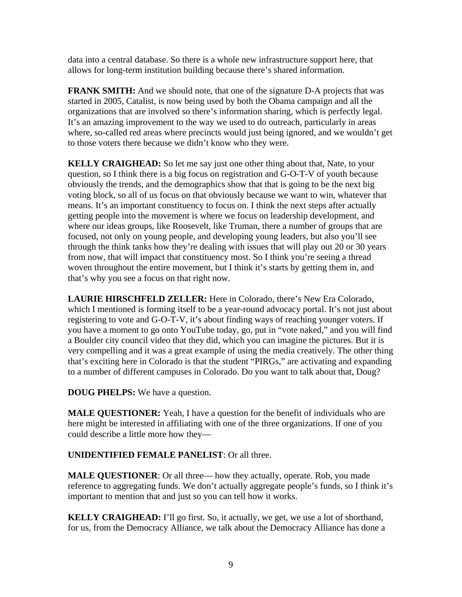data into a central database. So there is a whole new infrastructure support here, that allows for long-term institution building because there's shared information.

**FRANK SMITH:** And we should note, that one of the signature D-A projects that was started in 2005, Catalist, is now being used by both the Obama campaign and all the organizations that are involved so there's information sharing, which is perfectly legal. It's an amazing improvement to the way we used to do outreach, particularly in areas where, so-called red areas where precincts would just being ignored, and we wouldn't get to those voters there because we didn't know who they were.

**KELLY CRAIGHEAD:** So let me say just one other thing about that, Nate, to your question, so I think there is a big focus on registration and G-O-T-V of youth because obviously the trends, and the demographics show that that is going to be the next big voting block, so all of us focus on that obviously because we want to win, whatever that means. It's an important constituency to focus on. I think the next steps after actually getting people into the movement is where we focus on leadership development, and where our ideas groups, like Roosevelt, like Truman, there a number of groups that are focused, not only on young people, and developing young leaders, but also you'll see through the think tanks how they're dealing with issues that will play out 20 or 30 years from now, that will impact that constituency most. So I think you're seeing a thread woven throughout the entire movement, but I think it's starts by getting them in, and that's why you see a focus on that right now.

**LAURIE HIRSCHFELD ZELLER:** Here in Colorado, there's New Era Colorado, which I mentioned is forming itself to be a year-round advocacy portal. It's not just about registering to vote and G-O-T-V, it's about finding ways of reaching younger voters. If you have a moment to go onto YouTube today, go, put in "vote naked," and you will find a Boulder city council video that they did, which you can imagine the pictures. But it is very compelling and it was a great example of using the media creatively. The other thing that's exciting here in Colorado is that the student "PIRGs," are activating and expanding to a number of different campuses in Colorado. Do you want to talk about that, Doug?

**DOUG PHELPS:** We have a question.

**MALE QUESTIONER:** Yeah, I have a question for the benefit of individuals who are here might be interested in affiliating with one of the three organizations. If one of you could describe a little more how they—

**UNIDENTIFIED FEMALE PANELIST**: Or all three.

**MALE QUESTIONER:** Or all three— how they actually, operate. Rob, you made reference to aggregating funds. We don't actually aggregate people's funds, so I think it's important to mention that and just so you can tell how it works.

**KELLY CRAIGHEAD:** I'll go first. So, it actually, we get, we use a lot of shorthand, for us, from the Democracy Alliance, we talk about the Democracy Alliance has done a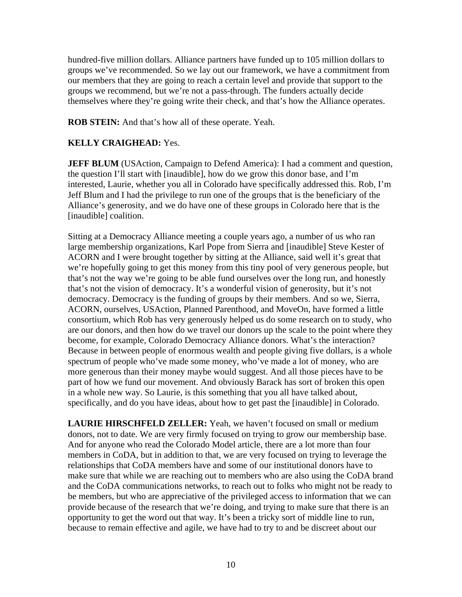hundred-five million dollars. Alliance partners have funded up to 105 million dollars to groups we've recommended. So we lay out our framework, we have a commitment from our members that they are going to reach a certain level and provide that support to the groups we recommend, but we're not a pass-through. The funders actually decide themselves where they're going write their check, and that's how the Alliance operates.

**ROB STEIN:** And that's how all of these operate. Yeah.

## **KELLY CRAIGHEAD:** Yes.

**JEFF BLUM** (USAction, Campaign to Defend America): I had a comment and question, the question I'll start with [inaudible], how do we grow this donor base, and I'm interested, Laurie, whether you all in Colorado have specifically addressed this. Rob, I'm Jeff Blum and I had the privilege to run one of the groups that is the beneficiary of the Alliance's generosity, and we do have one of these groups in Colorado here that is the [inaudible] coalition.

Sitting at a Democracy Alliance meeting a couple years ago, a number of us who ran large membership organizations, Karl Pope from Sierra and [inaudible] Steve Kester of ACORN and I were brought together by sitting at the Alliance, said well it's great that we're hopefully going to get this money from this tiny pool of very generous people, but that's not the way we're going to be able fund ourselves over the long run, and honestly that's not the vision of democracy. It's a wonderful vision of generosity, but it's not democracy. Democracy is the funding of groups by their members. And so we, Sierra, ACORN, ourselves, USAction, Planned Parenthood, and MoveOn, have formed a little consortium, which Rob has very generously helped us do some research on to study, who are our donors, and then how do we travel our donors up the scale to the point where they become, for example, Colorado Democracy Alliance donors. What's the interaction? Because in between people of enormous wealth and people giving five dollars, is a whole spectrum of people who've made some money, who've made a lot of money, who are more generous than their money maybe would suggest. And all those pieces have to be part of how we fund our movement. And obviously Barack has sort of broken this open in a whole new way. So Laurie, is this something that you all have talked about, specifically, and do you have ideas, about how to get past the [inaudible] in Colorado.

**LAURIE HIRSCHFELD ZELLER:** Yeah, we haven't focused on small or medium donors, not to date. We are very firmly focused on trying to grow our membership base. And for anyone who read the Colorado Model article, there are a lot more than four members in CoDA, but in addition to that, we are very focused on trying to leverage the relationships that CoDA members have and some of our institutional donors have to make sure that while we are reaching out to members who are also using the CoDA brand and the CoDA communications networks, to reach out to folks who might not be ready to be members, but who are appreciative of the privileged access to information that we can provide because of the research that we're doing, and trying to make sure that there is an opportunity to get the word out that way. It's been a tricky sort of middle line to run, because to remain effective and agile, we have had to try to and be discreet about our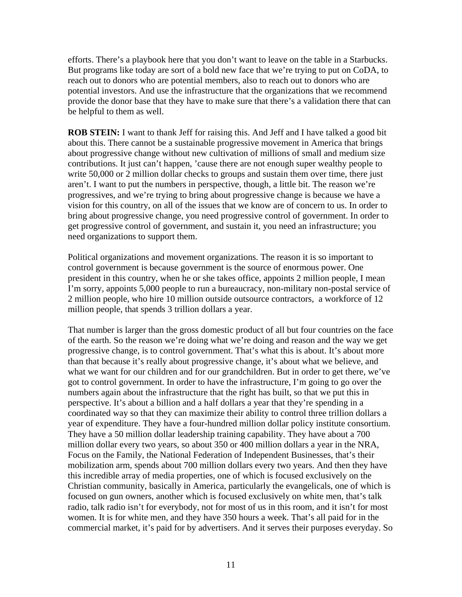efforts. There's a playbook here that you don't want to leave on the table in a Starbucks. But programs like today are sort of a bold new face that we're trying to put on CoDA, to reach out to donors who are potential members, also to reach out to donors who are potential investors. And use the infrastructure that the organizations that we recommend provide the donor base that they have to make sure that there's a validation there that can be helpful to them as well.

**ROB STEIN:** I want to thank Jeff for raising this. And Jeff and I have talked a good bit about this. There cannot be a sustainable progressive movement in America that brings about progressive change without new cultivation of millions of small and medium size contributions. It just can't happen, 'cause there are not enough super wealthy people to write 50,000 or 2 million dollar checks to groups and sustain them over time, there just aren't. I want to put the numbers in perspective, though, a little bit. The reason we're progressives, and we're trying to bring about progressive change is because we have a vision for this country, on all of the issues that we know are of concern to us. In order to bring about progressive change, you need progressive control of government. In order to get progressive control of government, and sustain it, you need an infrastructure; you need organizations to support them.

Political organizations and movement organizations. The reason it is so important to control government is because government is the source of enormous power. One president in this country, when he or she takes office, appoints 2 million people, I mean I'm sorry, appoints 5,000 people to run a bureaucracy, non-military non-postal service of 2 million people, who hire 10 million outside outsource contractors, a workforce of 12 million people, that spends 3 trillion dollars a year.

That number is larger than the gross domestic product of all but four countries on the face of the earth. So the reason we're doing what we're doing and reason and the way we get progressive change, is to control government. That's what this is about. It's about more than that because it's really about progressive change, it's about what we believe, and what we want for our children and for our grandchildren. But in order to get there, we've got to control government. In order to have the infrastructure, I'm going to go over the numbers again about the infrastructure that the right has built, so that we put this in perspective. It's about a billion and a half dollars a year that they're spending in a coordinated way so that they can maximize their ability to control three trillion dollars a year of expenditure. They have a four-hundred million dollar policy institute consortium. They have a 50 million dollar leadership training capability. They have about a 700 million dollar every two years, so about 350 or 400 million dollars a year in the NRA, Focus on the Family, the National Federation of Independent Businesses, that's their mobilization arm, spends about 700 million dollars every two years. And then they have this incredible array of media properties, one of which is focused exclusively on the Christian community, basically in America, particularly the evangelicals, one of which is focused on gun owners, another which is focused exclusively on white men, that's talk radio, talk radio isn't for everybody, not for most of us in this room, and it isn't for most women. It is for white men, and they have 350 hours a week. That's all paid for in the commercial market, it's paid for by advertisers. And it serves their purposes everyday. So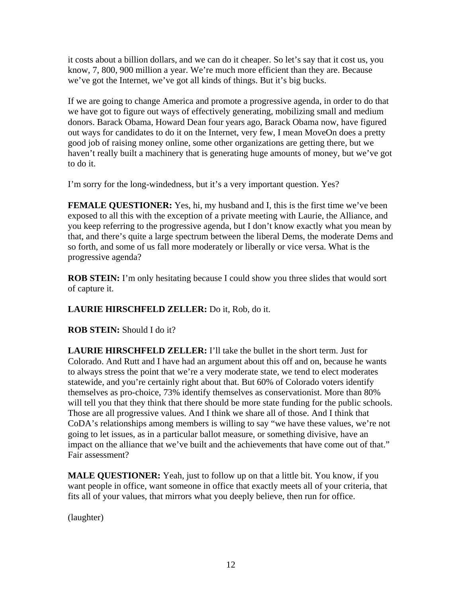it costs about a billion dollars, and we can do it cheaper. So let's say that it cost us, you know, 7, 800, 900 million a year. We're much more efficient than they are. Because we've got the Internet, we've got all kinds of things. But it's big bucks.

If we are going to change America and promote a progressive agenda, in order to do that we have got to figure out ways of effectively generating, mobilizing small and medium donors. Barack Obama, Howard Dean four years ago, Barack Obama now, have figured out ways for candidates to do it on the Internet, very few, I mean MoveOn does a pretty good job of raising money online, some other organizations are getting there, but we haven't really built a machinery that is generating huge amounts of money, but we've got to do it.

I'm sorry for the long-windedness, but it's a very important question. Yes?

**FEMALE QUESTIONER:** Yes, hi, my husband and I, this is the first time we've been exposed to all this with the exception of a private meeting with Laurie, the Alliance, and you keep referring to the progressive agenda, but I don't know exactly what you mean by that, and there's quite a large spectrum between the liberal Dems, the moderate Dems and so forth, and some of us fall more moderately or liberally or vice versa. What is the progressive agenda?

**ROB STEIN:** I'm only hesitating because I could show you three slides that would sort of capture it.

**LAURIE HIRSCHFELD ZELLER:** Do it, Rob, do it.

**ROB STEIN:** Should I do it?

**LAURIE HIRSCHFELD ZELLER:** I'll take the bullet in the short term. Just for Colorado. And Rutt and I have had an argument about this off and on, because he wants to always stress the point that we're a very moderate state, we tend to elect moderates statewide, and you're certainly right about that. But 60% of Colorado voters identify themselves as pro-choice, 73% identify themselves as conservationist. More than 80% will tell you that they think that there should be more state funding for the public schools. Those are all progressive values. And I think we share all of those. And I think that CoDA's relationships among members is willing to say "we have these values, we're not going to let issues, as in a particular ballot measure, or something divisive, have an impact on the alliance that we've built and the achievements that have come out of that." Fair assessment?

**MALE QUESTIONER:** Yeah, just to follow up on that a little bit. You know, if you want people in office, want someone in office that exactly meets all of your criteria, that fits all of your values, that mirrors what you deeply believe, then run for office.

(laughter)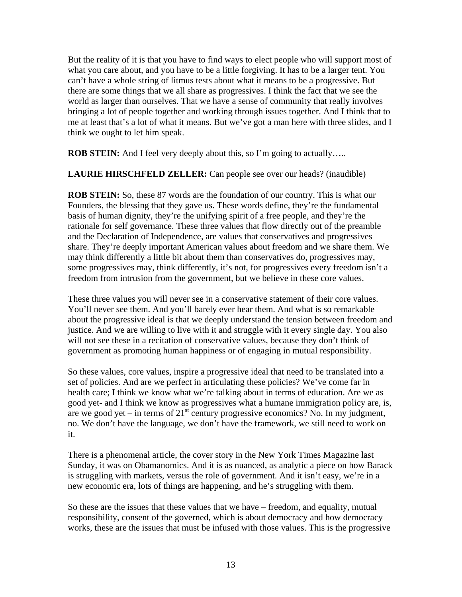But the reality of it is that you have to find ways to elect people who will support most of what you care about, and you have to be a little forgiving. It has to be a larger tent. You can't have a whole string of litmus tests about what it means to be a progressive. But there are some things that we all share as progressives. I think the fact that we see the world as larger than ourselves. That we have a sense of community that really involves bringing a lot of people together and working through issues together. And I think that to me at least that's a lot of what it means. But we've got a man here with three slides, and I think we ought to let him speak.

**ROB STEIN:** And I feel very deeply about this, so I'm going to actually.....

**LAURIE HIRSCHFELD ZELLER:** Can people see over our heads? (inaudible)

**ROB STEIN:** So, these 87 words are the foundation of our country. This is what our Founders, the blessing that they gave us. These words define, they're the fundamental basis of human dignity, they're the unifying spirit of a free people, and they're the rationale for self governance. These three values that flow directly out of the preamble and the Declaration of Independence, are values that conservatives and progressives share. They're deeply important American values about freedom and we share them. We may think differently a little bit about them than conservatives do, progressives may, some progressives may, think differently, it's not, for progressives every freedom isn't a freedom from intrusion from the government, but we believe in these core values.

These three values you will never see in a conservative statement of their core values. You'll never see them. And you'll barely ever hear them. And what is so remarkable about the progressive ideal is that we deeply understand the tension between freedom and justice. And we are willing to live with it and struggle with it every single day. You also will not see these in a recitation of conservative values, because they don't think of government as promoting human happiness or of engaging in mutual responsibility.

So these values, core values, inspire a progressive ideal that need to be translated into a set of policies. And are we perfect in articulating these policies? We've come far in health care; I think we know what we're talking about in terms of education. Are we as good yet- and I think we know as progressives what a humane immigration policy are, is, are we good yet – in terms of  $21<sup>st</sup>$  century progressive economics? No. In my judgment, no. We don't have the language, we don't have the framework, we still need to work on it.

There is a phenomenal article, the cover story in the New York Times Magazine last Sunday, it was on Obamanomics. And it is as nuanced, as analytic a piece on how Barack is struggling with markets, versus the role of government. And it isn't easy, we're in a new economic era, lots of things are happening, and he's struggling with them.

So these are the issues that these values that we have – freedom, and equality, mutual responsibility, consent of the governed, which is about democracy and how democracy works, these are the issues that must be infused with those values. This is the progressive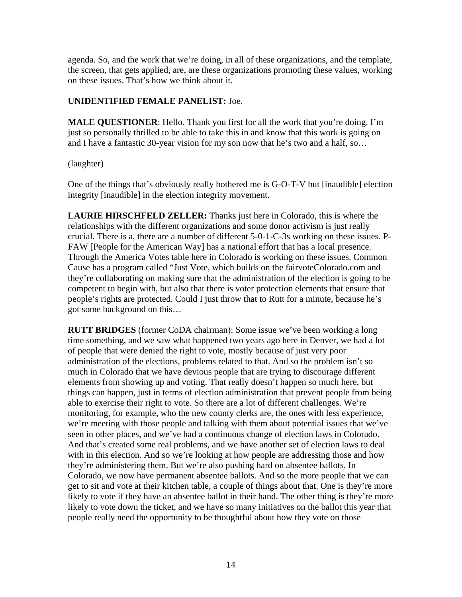agenda. So, and the work that we're doing, in all of these organizations, and the template, the screen, that gets applied, are, are these organizations promoting these values, working on these issues. That's how we think about it.

#### **UNIDENTIFIED FEMALE PANELIST:** Joe.

**MALE QUESTIONER:** Hello. Thank you first for all the work that you're doing. I'm just so personally thrilled to be able to take this in and know that this work is going on and I have a fantastic 30-year vision for my son now that he's two and a half, so…

(laughter)

One of the things that's obviously really bothered me is G-O-T-V but [inaudible] election integrity [inaudible] in the election integrity movement.

**LAURIE HIRSCHFELD ZELLER:** Thanks just here in Colorado, this is where the relationships with the different organizations and some donor activism is just really crucial. There is a, there are a number of different 5-0-1-C-3s working on these issues. P-FAW [People for the American Way] has a national effort that has a local presence. Through the America Votes table here in Colorado is working on these issues. Common Cause has a program called "Just Vote, which builds on the fairvoteColorado.com and they're collaborating on making sure that the administration of the election is going to be competent to begin with, but also that there is voter protection elements that ensure that people's rights are protected. Could I just throw that to Rutt for a minute, because he's got some background on this…

**RUTT BRIDGES** (former CoDA chairman): Some issue we've been working a long time something, and we saw what happened two years ago here in Denver, we had a lot of people that were denied the right to vote, mostly because of just very poor administration of the elections, problems related to that. And so the problem isn't so much in Colorado that we have devious people that are trying to discourage different elements from showing up and voting. That really doesn't happen so much here, but things can happen, just in terms of election administration that prevent people from being able to exercise their right to vote. So there are a lot of different challenges. We're monitoring, for example, who the new county clerks are, the ones with less experience, we're meeting with those people and talking with them about potential issues that we've seen in other places, and we've had a continuous change of election laws in Colorado. And that's created some real problems, and we have another set of election laws to deal with in this election. And so we're looking at how people are addressing those and how they're administering them. But we're also pushing hard on absentee ballots. In Colorado, we now have permanent absentee ballots. And so the more people that we can get to sit and vote at their kitchen table, a couple of things about that. One is they're more likely to vote if they have an absentee ballot in their hand. The other thing is they're more likely to vote down the ticket, and we have so many initiatives on the ballot this year that people really need the opportunity to be thoughtful about how they vote on those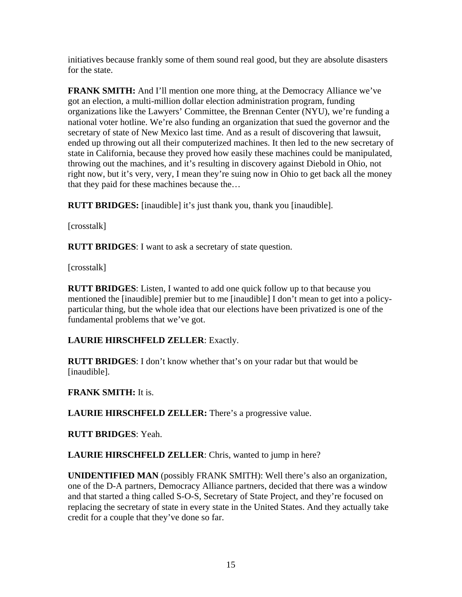initiatives because frankly some of them sound real good, but they are absolute disasters for the state.

**FRANK SMITH:** And I'll mention one more thing, at the Democracy Alliance we've got an election, a multi-million dollar election administration program, funding organizations like the Lawyers' Committee, the Brennan Center (NYU), we're funding a national voter hotline. We're also funding an organization that sued the governor and the secretary of state of New Mexico last time. And as a result of discovering that lawsuit, ended up throwing out all their computerized machines. It then led to the new secretary of state in California, because they proved how easily these machines could be manipulated, throwing out the machines, and it's resulting in discovery against Diebold in Ohio, not right now, but it's very, very, I mean they're suing now in Ohio to get back all the money that they paid for these machines because the…

**RUTT BRIDGES:** [inaudible] it's just thank you, thank you [inaudible].

[crosstalk]

**RUTT BRIDGES**: I want to ask a secretary of state question.

[crosstalk]

**RUTT BRIDGES**: Listen, I wanted to add one quick follow up to that because you mentioned the [inaudible] premier but to me [inaudible] I don't mean to get into a policyparticular thing, but the whole idea that our elections have been privatized is one of the fundamental problems that we've got.

### **LAURIE HIRSCHFELD ZELLER**: Exactly.

**RUTT BRIDGES**: I don't know whether that's on your radar but that would be [inaudible].

### **FRANK SMITH:** It is.

**LAURIE HIRSCHFELD ZELLER:** There's a progressive value.

**RUTT BRIDGES**: Yeah.

**LAURIE HIRSCHFELD ZELLER**: Chris, wanted to jump in here?

**UNIDENTIFIED MAN** (possibly FRANK SMITH): Well there's also an organization, one of the D-A partners, Democracy Alliance partners, decided that there was a window and that started a thing called S-O-S, Secretary of State Project, and they're focused on replacing the secretary of state in every state in the United States. And they actually take credit for a couple that they've done so far.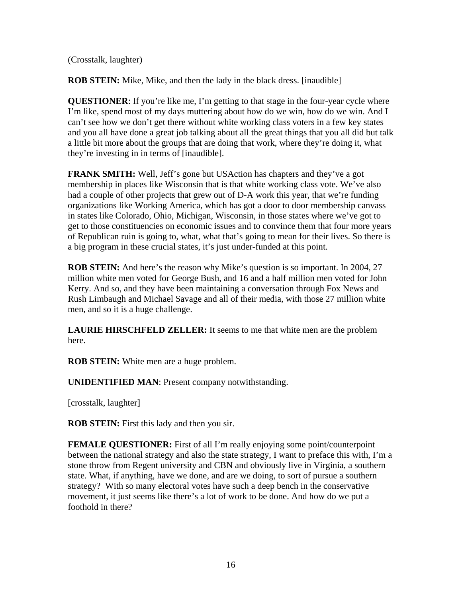(Crosstalk, laughter)

**ROB STEIN:** Mike, Mike, and then the lady in the black dress. [inaudible]

**QUESTIONER**: If you're like me, I'm getting to that stage in the four-year cycle where I'm like, spend most of my days muttering about how do we win, how do we win. And I can't see how we don't get there without white working class voters in a few key states and you all have done a great job talking about all the great things that you all did but talk a little bit more about the groups that are doing that work, where they're doing it, what they're investing in in terms of [inaudible].

**FRANK SMITH:** Well, Jeff's gone but USAction has chapters and they've a got membership in places like Wisconsin that is that white working class vote. We've also had a couple of other projects that grew out of D-A work this year, that we're funding organizations like Working America, which has got a door to door membership canvass in states like Colorado, Ohio, Michigan, Wisconsin, in those states where we've got to get to those constituencies on economic issues and to convince them that four more years of Republican ruin is going to, what, what that's going to mean for their lives. So there is a big program in these crucial states, it's just under-funded at this point.

**ROB STEIN:** And here's the reason why Mike's question is so important. In 2004, 27 million white men voted for George Bush, and 16 and a half million men voted for John Kerry. And so, and they have been maintaining a conversation through Fox News and Rush Limbaugh and Michael Savage and all of their media, with those 27 million white men, and so it is a huge challenge.

**LAURIE HIRSCHFELD ZELLER:** It seems to me that white men are the problem here.

**ROB STEIN:** White men are a huge problem.

**UNIDENTIFIED MAN**: Present company notwithstanding.

[crosstalk, laughter]

**ROB STEIN:** First this lady and then you sir.

**FEMALE QUESTIONER:** First of all I'm really enjoying some point/counterpoint between the national strategy and also the state strategy, I want to preface this with, I'm a stone throw from Regent university and CBN and obviously live in Virginia, a southern state. What, if anything, have we done, and are we doing, to sort of pursue a southern strategy? With so many electoral votes have such a deep bench in the conservative movement, it just seems like there's a lot of work to be done. And how do we put a foothold in there?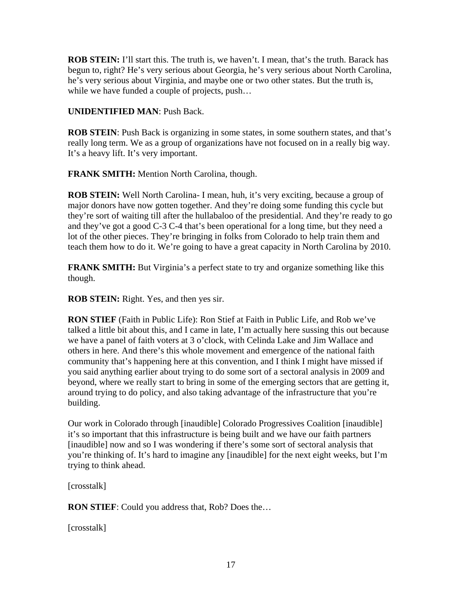**ROB STEIN:** I'll start this. The truth is, we haven't. I mean, that's the truth. Barack has begun to, right? He's very serious about Georgia, he's very serious about North Carolina, he's very serious about Virginia, and maybe one or two other states. But the truth is, while we have funded a couple of projects, push...

#### **UNIDENTIFIED MAN**: Push Back.

**ROB STEIN:** Push Back is organizing in some states, in some southern states, and that's really long term. We as a group of organizations have not focused on in a really big way. It's a heavy lift. It's very important.

**FRANK SMITH:** Mention North Carolina, though.

**ROB STEIN:** Well North Carolina- I mean, huh, it's very exciting, because a group of major donors have now gotten together. And they're doing some funding this cycle but they're sort of waiting till after the hullabaloo of the presidential. And they're ready to go and they've got a good C-3 C-4 that's been operational for a long time, but they need a lot of the other pieces. They're bringing in folks from Colorado to help train them and teach them how to do it. We're going to have a great capacity in North Carolina by 2010.

**FRANK SMITH:** But Virginia's a perfect state to try and organize something like this though.

**ROB STEIN:** Right. Yes, and then yes sir.

**RON STIEF** (Faith in Public Life): Ron Stief at Faith in Public Life, and Rob we've talked a little bit about this, and I came in late, I'm actually here sussing this out because we have a panel of faith voters at 3 o'clock, with Celinda Lake and Jim Wallace and others in here. And there's this whole movement and emergence of the national faith community that's happening here at this convention, and I think I might have missed if you said anything earlier about trying to do some sort of a sectoral analysis in 2009 and beyond, where we really start to bring in some of the emerging sectors that are getting it, around trying to do policy, and also taking advantage of the infrastructure that you're building.

Our work in Colorado through [inaudible] Colorado Progressives Coalition [inaudible] it's so important that this infrastructure is being built and we have our faith partners [inaudible] now and so I was wondering if there's some sort of sectoral analysis that you're thinking of. It's hard to imagine any [inaudible] for the next eight weeks, but I'm trying to think ahead.

[crosstalk]

**RON STIEF**: Could you address that, Rob? Does the…

[crosstalk]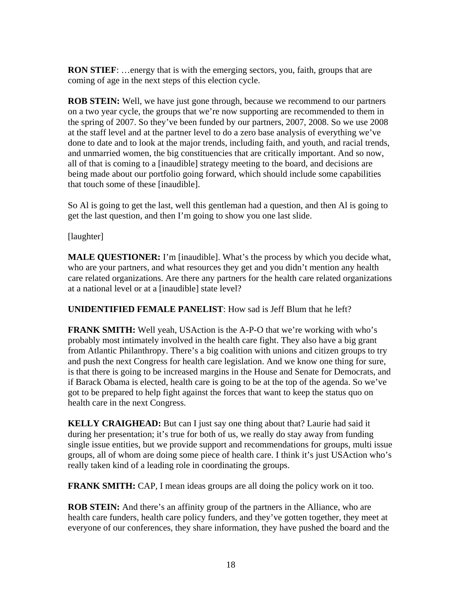**RON STIEF:** ...energy that is with the emerging sectors, you, faith, groups that are coming of age in the next steps of this election cycle.

**ROB STEIN:** Well, we have just gone through, because we recommend to our partners on a two year cycle, the groups that we're now supporting are recommended to them in the spring of 2007. So they've been funded by our partners, 2007, 2008. So we use 2008 at the staff level and at the partner level to do a zero base analysis of everything we've done to date and to look at the major trends, including faith, and youth, and racial trends, and unmarried women, the big constituencies that are critically important. And so now, all of that is coming to a [inaudible] strategy meeting to the board, and decisions are being made about our portfolio going forward, which should include some capabilities that touch some of these [inaudible].

So Al is going to get the last, well this gentleman had a question, and then Al is going to get the last question, and then I'm going to show you one last slide.

[laughter]

**MALE QUESTIONER:** I'm [inaudible]. What's the process by which you decide what, who are your partners, and what resources they get and you didn't mention any health care related organizations. Are there any partners for the health care related organizations at a national level or at a [inaudible] state level?

**UNIDENTIFIED FEMALE PANELIST**: How sad is Jeff Blum that he left?

**FRANK SMITH:** Well yeah, USAction is the A-P-O that we're working with who's probably most intimately involved in the health care fight. They also have a big grant from Atlantic Philanthropy. There's a big coalition with unions and citizen groups to try and push the next Congress for health care legislation. And we know one thing for sure, is that there is going to be increased margins in the House and Senate for Democrats, and if Barack Obama is elected, health care is going to be at the top of the agenda. So we've got to be prepared to help fight against the forces that want to keep the status quo on health care in the next Congress.

**KELLY CRAIGHEAD:** But can I just say one thing about that? Laurie had said it during her presentation; it's true for both of us, we really do stay away from funding single issue entities, but we provide support and recommendations for groups, multi issue groups, all of whom are doing some piece of health care. I think it's just USAction who's really taken kind of a leading role in coordinating the groups.

**FRANK SMITH:** CAP, I mean ideas groups are all doing the policy work on it too.

**ROB STEIN:** And there's an affinity group of the partners in the Alliance, who are health care funders, health care policy funders, and they've gotten together, they meet at everyone of our conferences, they share information, they have pushed the board and the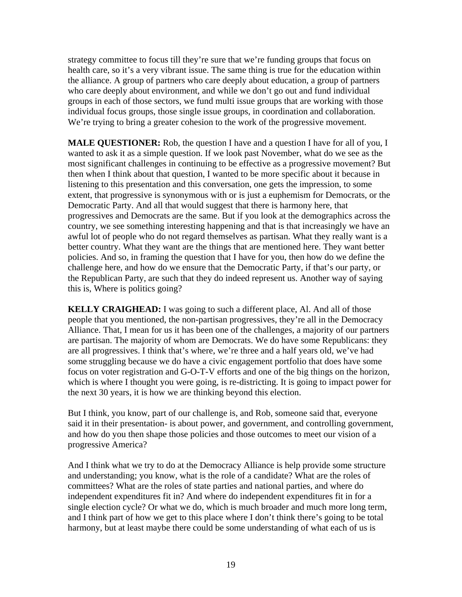strategy committee to focus till they're sure that we're funding groups that focus on health care, so it's a very vibrant issue. The same thing is true for the education within the alliance. A group of partners who care deeply about education, a group of partners who care deeply about environment, and while we don't go out and fund individual groups in each of those sectors, we fund multi issue groups that are working with those individual focus groups, those single issue groups, in coordination and collaboration. We're trying to bring a greater cohesion to the work of the progressive movement.

**MALE QUESTIONER:** Rob, the question I have and a question I have for all of you, I wanted to ask it as a simple question. If we look past November, what do we see as the most significant challenges in continuing to be effective as a progressive movement? But then when I think about that question, I wanted to be more specific about it because in listening to this presentation and this conversation, one gets the impression, to some extent, that progressive is synonymous with or is just a euphemism for Democrats, or the Democratic Party. And all that would suggest that there is harmony here, that progressives and Democrats are the same. But if you look at the demographics across the country, we see something interesting happening and that is that increasingly we have an awful lot of people who do not regard themselves as partisan. What they really want is a better country. What they want are the things that are mentioned here. They want better policies. And so, in framing the question that I have for you, then how do we define the challenge here, and how do we ensure that the Democratic Party, if that's our party, or the Republican Party, are such that they do indeed represent us. Another way of saying this is, Where is politics going?

**KELLY CRAIGHEAD:** I was going to such a different place, Al. And all of those people that you mentioned, the non-partisan progressives, they're all in the Democracy Alliance. That, I mean for us it has been one of the challenges, a majority of our partners are partisan. The majority of whom are Democrats. We do have some Republicans: they are all progressives. I think that's where, we're three and a half years old, we've had some struggling because we do have a civic engagement portfolio that does have some focus on voter registration and G-O-T-V efforts and one of the big things on the horizon, which is where I thought you were going, is re-districting. It is going to impact power for the next 30 years, it is how we are thinking beyond this election.

But I think, you know, part of our challenge is, and Rob, someone said that, everyone said it in their presentation- is about power, and government, and controlling government, and how do you then shape those policies and those outcomes to meet our vision of a progressive America?

And I think what we try to do at the Democracy Alliance is help provide some structure and understanding; you know, what is the role of a candidate? What are the roles of committees? What are the roles of state parties and national parties, and where do independent expenditures fit in? And where do independent expenditures fit in for a single election cycle? Or what we do, which is much broader and much more long term, and I think part of how we get to this place where I don't think there's going to be total harmony, but at least maybe there could be some understanding of what each of us is